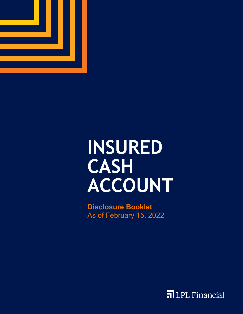

# **INSURED CASH ACCOUNT**

**Disclosure Booklet** As of February 15, 2022

FILPL Financial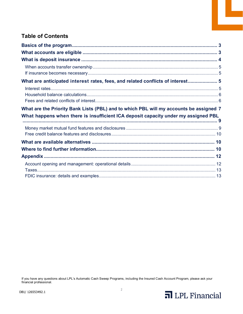# **Table of Contents**

| What are anticipated interest rates, fees, and related conflicts of interest 5         |  |
|----------------------------------------------------------------------------------------|--|
|                                                                                        |  |
|                                                                                        |  |
|                                                                                        |  |
| What are the Priority Bank Lists (PBL) and to which PBL will my accounts be assigned 7 |  |
| What happens when there is insufficient ICA deposit capacity under my assigned PBL     |  |
|                                                                                        |  |
|                                                                                        |  |
|                                                                                        |  |
|                                                                                        |  |
|                                                                                        |  |
|                                                                                        |  |
|                                                                                        |  |
|                                                                                        |  |

If you have any questions about LPL's Automatic Cash Sweep Programs, including the Insured Cash Account Program, please ask your financial professional.



Ŀ,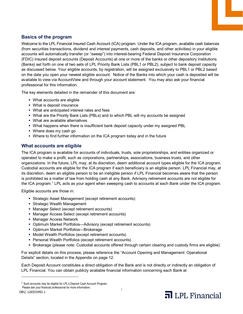# <span id="page-2-0"></span>**Basics of the program**

Welcome to the LPL Financial Insured Cash Account (ICA) program. Under the ICA program, available cash balances (from securities transactions, dividend and interest payments, cash deposits, and other activities) in your eligible accounts will automatically transfer (or "sweep") into interest-bearing Federal Deposit Insurance Corporation (FDIC) insured deposit accounts (Deposit Accounts) at one or more of the banks or other depository institutions (Banks) set forth on one of two sets of LPL Priority Bank Lists (PBL1 or PBL2), subject to bank deposit capacity as discussed below. Your eligible accounts, by registration, will be assigned exclusively to PBL1 or PBL2 based on the date you open your newest eligible account. Notice of the Banks into which your cash is deposited will be available to view via AccountView and through your account statement. You may also ask your financial professional for this information.

The key elements detailed in the remainder of this document are:

- What accounts are eligible
- What is deposit insurance
- What are anticipated interest rates and fees
- What are the Priority Bank Lists (PBLs) and to which PBL will my accounts be assigned
- What are available alternatives
- What happens when there is insufficient bank deposit capacity under my assigned PBL
- Where does my cash go
- Where to find further information on the ICA program today and in the future

# <span id="page-2-1"></span>**What accounts are eligible**

The ICA program is available for accounts of individuals, trusts, sole proprietorships, and entities organized or operated to make a profit, such as corporations, partnerships, associations, business trusts, and other organizations. In the future, LPL may, at its discretion, deem additional account types eligible for the ICA program. Custodial accounts are eligible for the ICA program if each beneficiary is an eligible person. LPL Financial may, at its discretion, deem an eligible person to be an ineligible person if LPL Financial becomes aware that the person is prohibited as a matter of law from holding cash at any Bank. Advisory retirement accounts are not eligible for the ICA program.<sup>[1](#page-2-2)</sup> LPL acts as your agent when sweeping cash to accounts at each Bank under the ICA program.

Eligible accounts are those in:

- Strategic Asset Management (except retirement accounts)
- Strategic Wealth Management
- Manager Select (except retirement accounts)
- Manager Access Select (except retirement accounts)
- **Manager Access Network**
- Optimum Market Portfolios—Advisory (except retirement accounts)
- Optimum Market Portfolios—Brokerage
- Model Wealth Portfolios (except retirement accounts)
- Personal Wealth Portfolios (except retirement accounts)
- Brokerage (please note: Custodial accounts offered through certain clearing and custody firms are eligible)

For explicit details on this process, please reference the "Account Opening and Management: Operational Details" section, located in the Appendix on page 12.

Each Deposit Account constitutes a direct obligation of the Bank and is not directly or indirectly an obligation of LPL Financial. You can obtain publicly available financial information concerning each Bank at

-

<span id="page-2-2"></span><sup>1</sup> Such accounts may be eligible for LPL's Deposit Cash Account Program.

Please ask your financial professional for more information.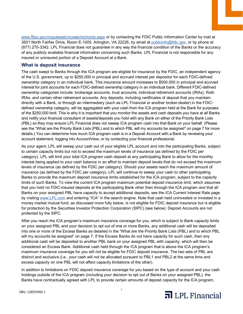[www.ffiec.gov/nicpubweb/nicweb/nichome.aspx](http://www.ffiec.gov/nicpubweb/nicweb/nichome.aspx) or by contacting the FDIC Public Information Center by mail at 3501 North Fairfax Drive, Room E-1005, Arlington, VA 22226, by email at [publicinfo@fdic.gov, o](mailto:publicinfo@fdic.gov)r by phone at (877) 275-3342. LPL Financial does not guarantee in any way the financial condition of the Banks or the accuracy of any publicly available financial information concerning such Banks. LPL Financial is not responsible for any insured or uninsured portion of a Deposit Account at a Bank.

## <span id="page-3-0"></span>**What is deposit insurance**

The cash swept to Banks through the ICA program are eligible for insurance by the FDIC, an independent agency of the U.S. government, up to \$250,000 in principal and accrued interest per depositor for each FDIC-defined ownership category in an individual bank. This insurance amount increases to \$500,000 in principal and accrued interest for joint accounts for each FDIC-defined ownership category in an individual bank. Different FDIC-defined ownership categories include: brokerage accounts, trust accounts, individual retirement accounts (IRAs), Roth IRAs, and certain other retirement accounts. Any deposits, including certificates of deposit that you maintain directly with a Bank, or through an intermediary (such as LPL Financial or another broker-dealer) in the FDICdefined ownership category, will be aggregated with your cash from the ICA program held at the Bank for purposes of the \$250,000 limit. This is why it is important that you monitor the assets and cash deposits you have at all Banks and notify your financial consultant of assets/deposits you hold with any Bank on either of the Priority Bank Lists (PBL) so they may ensure LPL Financial does not sweep ICA program cash into that Bank on your behalf. (Please see the "What are the Priority Bank Lists (PBL) and to which PBL will my accounts be assigned" on page [7](#page-6-0) for more details.) You can determine how much ICA program cash is in a Deposit Account with a Bank by reviewing your account statement, logging into AccountView, or by contacting your financial professional.

As your agent, LPL will sweep your cash out of your eligible LPL account and into the participating Banks, subject to certain capacity limits but not to exceed the maximum levels of insurance (as defined by the FDIC per category). LPL will limit your total ICA program cash deposit at any participating Bank to allow for the monthly interest being applied to your cash balance in an effort to maintain deposit levels that do not exceed the maximum levels of insurance (as defined by the FDIC per category). Should your assets reach the maximum amount of insurance (as defined by the FDIC per category), LPL will continue to sweep your cash to other participating Banks to provide the maximum deposit insurance limits established for the ICA program, subject to the capacity limits of such Banks. To view the current ICA program maximum potential deposit insurance limit, which assumes that you hold no FDIC-insured deposits at the participating Bank other than through the ICA program and that all Banks on your assigned PBL have capacity to accept additional deposits, see the ICA Current Interest Rate page by visiting www.LPL.com and entering "ICA" in the search engine. Note that cash held uninvested or invested in a money market mutual fund, as discussed more fully below, is not eligible for FDIC deposit insurance but is eligible for protection by the Securities Investor Protection Corporation (SIPC) (see below). Deposit Accounts are not protected by the SIPC.

After you reach the ICA program's maximum insurance coverage for you, which is subject to Bank capacity limits on your assigned PBL and your decision to opt out of one or more Banks, any additional cash will be deposited into one or more of the Excess Banks as detailed in the "What are the Priority Bank Lists (PBL) and to which PBL will my accounts be assigned" on page [7.](#page-6-0) If the Excess Banks do not have capacity for such cash, then any additional cash will be deposited to another PBL bank on your assigned PBL with capacity, which will then be considered an Excess Bank. Additional cash held through the ICA program that is above the ICA program's maximum insurance coverage for you will not be eligible for FDIC deposit insurance. The two sets of PBL are distinct and exclusive (i.e., your cash will not be allocated pursuant to PBL1 and PBL2 at the same time and excess capacity on one PBL will not affect capacity limitations of the other).

In addition to limitations on FDIC deposit insurance coverage for you based on the type of account and your cash holdings outside of the ICA program (including your decision to opt out of Banks on your assigned PBL), the Banks have contractually agreed with LPL to provide certain amounts of deposit capacity for the ICA program,

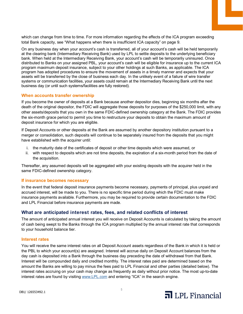which can change from time to time. For more information regarding the effects of the ICA program exceeding total Bank capacity, see "What happens when there is insufficient ICA capacity" on page [9.](#page-8-0)

On any business day when your account's cash is transferred, all of your account's cash will be held temporarily at the clearing bank (Intermediary Receiving Bank) used by LPL to settle deposits to the underlying beneficiary bank. When held at the Intermediary Receiving Bank, your account's cash will be temporarily uninsured. Once distributed to Banks on your assigned PBL, your account's cash will be eligible for insurance up to the current ICA program maximum deposit insurance, subject to your other holdings at such Banks, as applicable. The ICA program has adopted procedures to ensure the movement of assets in a timely manner and expects that your assets will be transferred by the close of business each day. In the unlikely event of a failure of wire transfer systems or communication facilities, your assets could remain at the Intermediary Receiving Bank until the next business day (or until such systems/facilities are fully restored).

#### <span id="page-4-0"></span>**When accounts transfer ownership**

If you become the owner of deposits at a Bank because another depositor dies, beginning six months after the death of the original depositor, the FDIC will aggregate those deposits for purposes of the \$250,000 limit, with any other assets/deposits that you own in the same FDIC-defined ownership category at the Bank. The FDIC provides the six-month grace period to permit you time to restructure your deposits to obtain the maximum amount of deposit insurance for which you are eligible.

If Deposit Accounts or other deposits at the Bank are assumed by another depository institution pursuant to a merger or consolidation, such deposits will continue to be separately insured from the deposits that you might have established with the acquirer until:

- i. the maturity date of the certificates of deposit or other time deposits which were assumed, or
- ii. with respect to deposits which are not time deposits, the expiration of a six-month period from the date of the acquisition.

Thereafter, any assumed deposits will be aggregated with your existing deposits with the acquirer held in the same FDIC-defined ownership category.

#### <span id="page-4-1"></span>**If insurance becomes necessary**

In the event that federal deposit insurance payments become necessary, payments of principal, plus unpaid and accrued interest, will be made to you. There is no specific time period during which the FDIC must make insurance payments available. Furthermore, you may be required to provide certain documentation to the FDIC and LPL Financial before insurance payments are made.

#### <span id="page-4-2"></span>**What are anticipated interest rates, fees, and related conflicts of interest**

The amount of anticipated annual interest you will receive on Deposit Accounts is calculated by taking the amount of cash being swept to the Banks through the ICA program multiplied by the annual interest rate that corresponds to your household balance tier.

#### <span id="page-4-3"></span>**Interest rates**

You will receive the same interest rates on all Deposit Account assets regardless of the Bank in which it is held or the PBL to which your account(s) are assigned. Interest will accrue daily on Deposit Account balances from the day cash is deposited into a Bank through the business day preceding the date of withdrawal from that Bank. Interest will be compounded daily and credited monthly. The interest rates paid are determined based on the amount the Banks are willing to pay minus the fees paid to LPL Financial and other parties (detailed below). The interest rates accruing on your cash may change as frequently as daily without prior notice. The most up-to-date interest rates are found by visiting [www.LPL.com](http://www.lpl.com/) and entering "ICA" in the search engine.

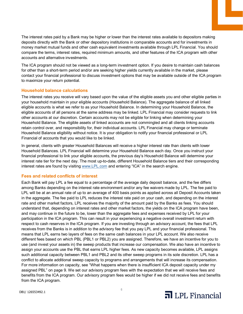The interest rates paid by a Bank may be higher or lower than the interest rates available to depositors making deposits directly with the Bank or other depository institutions in comparable accounts and for investments in money market mutual funds and other cash equivalent investments available through LPL Financial. You should compare the terms, interest rates, required minimum amounts, and other features of the ICA program with other accounts and alternative investments.

The ICA program should not be viewed as a long-term investment option. If you desire to maintain cash balances for other than a short-term period and/or are seeking higher yields currently available in the market, please contact your financial professional to discuss investment options that may be available outside of the ICA program to maximize your return potential.

#### <span id="page-5-0"></span>**Household balance calculations**

The interest rates you receive will vary based upon the value of the eligible assets you and other eligible parties in your household maintain in your eligible accounts (Household Balance). The aggregate balance of all linked eligible accounts is what we refer to as your Household Balance. In determining your Household Balance, the eligible accounts of all persons at the same address may be linked. LPL Financial may consider requests to link other accounts at our discretion. Certain accounts may not be eligible for linking when determining your Household Balance. The eligible assets of linked accounts are not commingled and all clients linking accounts retain control over, and responsibility for, their individual accounts. LPL Financial may change or terminate Household Balance eligibility without notice. It is your obligation to notify your financial professional or LPL Financial of accounts that you would like to be linked.

In general, clients with greater Household Balances will receive a higher interest rate than clients with lower Household Balances. LPL Financial will determine your Household Balance each day. Once you instruct your financial professional to link your eligible accounts, the previous day's Household Balance will determine your interest rate tier for the next day. The most up-to-date, different Household Balance tiers and their corresponding interest rates are found by visiting [www.LPL.com](http://www.lpl.com/) and entering "ICA" in the search engine.

#### <span id="page-5-1"></span>**Fees and related conflicts of interest**

Each Bank will pay LPL a fee equal to a percentage of the average daily deposit balance, and the fee differs among Banks depending on the interest rate environment and/or any fee waivers made by LPL. The fee paid to LPL will be at an annual rate of up to an average of 400 basis points as applied across all Deposit Accounts taken in the aggregate. The fee paid to LPL reduces the interest rate paid on your cash, and depending on the interest rate and other market factors, LPL receives the majority of the amount paid by the Banks as fees. You should understand that, depending on interest rates and other market factors, the yields on the ICA program have been, and may continue in the future to be, lower than the aggregate fees and expenses received by LPL for your participation in the ICA program. This can result in your experiencing a negative overall investment return with respect to cash reserves in the ICA program. If you are investing through an advisory account, the fees that LPL receives from the Banks is in addition to the advisory fee that you pay LPL and your financial professional. This means that LPL earns two layers of fees on the same cash balances in your LPL account. We also receive different fees based on which PBL (PBL1 or PBL2) you are assigned. Therefore, we have an incentive for you to use (and invest your assets in) the sweep products that increase our compensation. We also have an incentive to assign your accounts use the PBL that earns LPL higher fees. As new capacity becomes available, LPL assigns such additional capacity between PBL1 and PBL2 and its other sweep programs in its sole discretion. LPL has a conflict to allocate additional sweep capacity to programs and arrangements that will increase its compensation. For more information on capacity, see "What happens when there is insufficient ICA deposit capacity under my assigned PBL" on pag[e 9.](#page-8-0) We set our advisory program fees with the expectation that we will receive fees and benefits from the ICA program. Our advisory program fees would be higher if we did not receive fees and benefits from the ICA program.

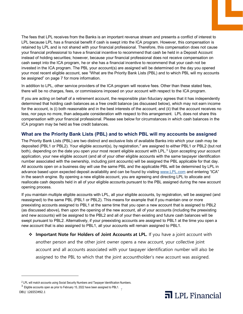The fees that LPL receives from the Banks is an important revenue stream and presents a conflict of interest to LPL because LPL has a financial benefit if cash is swept into the ICA program. However, this compensation is retained by LPL and is not shared with your financial professional. Therefore, this compensation does not cause your financial professional to have a financial incentive to recommend that cash be held in a Deposit Account instead of holding securities; however, because your financial professional does not receive compensation on cash swept into the ICA program, he or she has a financial incentive to recommend that your cash not be invested in the ICA program. The PBL your account(s) are assigned will be determined on the day you opened your most recent eligible account, see "What are the Priority Bank Lists (PBL) and to which PBL will my accounts be assigned" on page [7](#page-6-0) for more information.

In addition to LPL, other service providers of the ICA program will receive fees. Other than these stated fees, there will be no charges, fees, or commissions imposed on your account with respect to the ICA program.

If you are acting on behalf of a retirement account, the responsible plan fiduciary agrees that it has independently determined that holding cash balances as a free credit balance (as discussed below), which may not earn income for the account, is (i) both reasonable and in the best interests of the account; and (ii) that the account receives no less, nor pays no more, than adequate consideration with respect to this arrangement. LPL does not share this compensation with your financial professional. Please see below for circumstances in which cash balances in the ICA program may be held as free credit balances.

# <span id="page-6-0"></span>**What are the Priority Bank Lists (PBL) and to which PBL will my accounts be assigned**

The Priority Bank Lists (PBL) are two distinct and exclusive lists of available Banks into which your cash may be deposited (PBL1 or PBL[2](#page-6-1)). Your eligible account(s), by registration,<sup>2</sup> are assigned to either PBL1 or PBL2 (but not both), depending on the date you open your most recent eligible account with LPL.<sup>[3](#page-6-2)</sup> Upon accepting your account application, your new eligible account (and all of your other eligible accounts with the same taxpayer identification number associated with the ownership, including joint accounts) will be assigned the PBL applicable for that day. All accounts open on a business day will use the same PBL and the applicable PBL will be determined by LPL in advance based upon expected deposit availability and can be found by visitin[g www.LPL.com](http://www.lpl.com/) and entering "ICA" in the search engine. By opening a new eligible account, you are agreeing and directing LPL to allocate and reallocate cash deposits held in all of your eligible accounts pursuant to the PBL assigned during the new account opening process.

If you maintain multiple eligible accounts with LPL, all your eligible accounts, by registration, will be assigned (and reassigned) to the same PBL (PBL1 or PBL2). This means for example that if you maintain one or more preexisting accounts assigned to PBL1 at the same time that you open a new account that is assigned to PBL2 (as discussed above), then upon the opening of the new account, all of your accounts (including the preexisting and new accounts) will be assigned to the PBL2 and all of your then existing and future cash balances will be swept pursuant to PBL2. Alternatively, if your preexisting accounts are assigned to PBL1 at the time you open a new account that is also assigned to PBL1, all your accounts will remain assigned to PBL1.

**Important Note for Holders of Joint Accounts at LPL.** If you have a joint account with another person and the other joint owner opens a new account, your collective joint account and all accounts associated with your taxpayer identification number will also be assigned to the PBL to which that the joint accountholder's new account was assigned.

-



<sup>2</sup> LPL will match accounts using Social Security Numbers and Taxpayer Identification Numbers.

<span id="page-6-2"></span><span id="page-6-1"></span>DB1/ 126553492.1  $3$  Eligible accounts open as prior to February 15, 2022 have been assigned to PBL1.<br>D1/126556198.1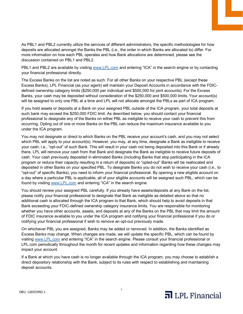As PBL1 and PBL2 currently utilize the services of different administrators, the specific methodologies for how deposits are allocated amongst the Banks the PBL (i.e., the order in which Banks are allocated to) differ. For more information on how each PBL operates and how Bank allocations are determined, please see the discussion contained on PBL1 and PBL2.

PBL1 and PBL2 are available by visiting [www.LPL.com](http://www.lpl.com/) and entering "ICA" in the search engine or by contacting your financial professional directly.

The Excess Banks on the list are noted as such. For all other Banks on your respective PBL (except these Excess Banks), LPL Financial (as your agent) will maintain your Deposit Accounts in accordance with the FDICdefined ownership category limits (\$250,000 per individual and \$500,000 for joint accounts). For the Excess Banks, your cash may be deposited without consideration of the \$250,000 and \$500,000 limits. Your account(s) will be assigned to only one PBL at a time and LPL will not allocate amongst the PBLs as part of ICA program.

If you hold assets or deposits at a Bank on your assigned PBL outside of the ICA program, your total deposits at such bank may exceed the \$250,000 FDIC limit. As described below, you should contact your financial professional to designate any of the Banks on either PBL as ineligible to receive your cash to prevent this from occurring. Opting out of one or more Banks on the PBL can reduce the maximum insurance available to you under the ICA program.

You may not designate or direct to which Banks on the PBL receive your account's cash, and you may not select which PBL will apply to your account(s). However, you may, at any time, designate a Bank as ineligible to receive your cash; i.e., "opt-out" of such Bank. This will result in your cash not being deposited into this Bank or if already there, LPL will remove your cash from that Bank and designate the Bank as ineligible to receive future deposits of cash. Your cash previously deposited in eliminated Banks (including Banks that stop participating in the ICA program or reduce their capacity resulting in a return of deposits) or "opted-out" Banks will be reallocated and deposited in other Banks on your specified PBL. To designate Banks you do not wish to receive your cash (i.e., to "opt-out" of specific Banks), you need to inform your financial professional. By opening a new eligible account on a day where a particular PBL is applicable, all of your eligible accounts will be assigned such PBL, which can be found by visiting [www.LPL.com](http://www.lpl.com/) and entering "ICA" in the search engine.

You should review your assigned PBL carefully. If you already have assets/deposits at any Bank on the list, please notify your financial professional to designate that Bank as ineligible as detailed above so that no additional cash is allocated through the ICA program to that Bank, which should help to avoid deposits in that Bank exceeding your FDIC-defined ownership category insurance limits. You are responsible for monitoring whether you have other accounts, assets, and deposits at any of the Banks on the PBL that may limit the amount of FDIC insurance available to you under the ICA program and notifying your financial professional if you do or notifying your financial professional if wish to remove an opt-out previously made.

On whichever PBL you are assigned, Banks may be added or removed. In addition, the Banks identified as Excess Banks may change. When changes are made, we will update the specific PBL, which can be found by visiting [www.LPL.com](http://www.lpl.com/) and entering "ICA" in the search engine. Please consult your financial professional or LPL.com periodically throughout the month for recent updates and information regarding how these changes may impact your account.

If a Bank at which you have cash is no longer available through the ICA program, you may choose to establish a direct depository relationship with the Bank, subject to its rules with respect to establishing and maintaining deposit accounts.



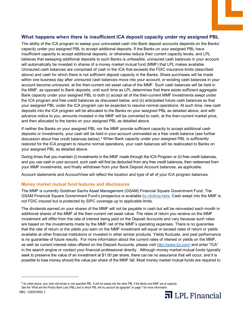# <span id="page-8-0"></span>**What happens when there is insufficient ICA deposit capacity under my assigned PBL**

The ability of the ICA program to sweep your uninvested cash into Bank deposit accounts depends on the Banks' capacity under you assigned PBL to accept additional deposits. If the Banks on your assigned PBL have insufficient capacity to accept additional deposits, or otherwise reduce their current capacity levels, and LPL believes that sweeping additional deposits to such Banks is unfeasible, uninsured cash balances in your account will automatically be invested in shares of a money market mutual fund (MMF) that LPL makes available. Uninsured cash balances are comprised of cash in the ICA that exceeds the FDIC insurance limits (described above) and cash for which there is not sufficient deposit capacity in the Banks. Share purchases will be made within one business day after uninsured cash balances move into your account, or existing cash balances in your account become uninsured, at the then-current net asset value of the MMF. Such cash balances will be held in the MMF, as opposed to Bank deposits, until such time as LPL determines that there exists sufficient aggregate Bank capacity under your assigned PBL to both (i) accept all of the then-current MMF investments swept under the ICA program and free credit balances as discussed below, and (ii) anticipated future cash balances so that your assigned PBL under the ICA program can be expected to resume normal operations. At such time, new cash deposits into the ICA program will be allocated to the Banks on your assigned PBL as detailed above, and with advance notice to you, amounts invested in the MMF will be converted to cash, at the then-current market price, and then allocated to the banks on your assigned PBL as detailed above.

If neither the Banks on your assigned PBL nor the MMF provide sufficient capacity to accept additional cash deposits or investments, your cash will be held in your account uninvested as a free credit balance (see further discussion about free credit balances below).<sup>[4](#page-8-2)</sup> When Bank capacity under your assigned PBL is sufficiently restored for the ICA program to resume normal operations, your cash balances will be reallocated to Banks on your assigned PBL as detailed above.

During times that you maintain (i) investments in the MMF made through the ICA Program or (ii) free credit balances, and you use cash in your account, such cash will first be deducted from any free credit balances, then redeemed from your MMF investments, and finally withdrawn from your Bank Deposit Account balances, as applicable.

Account statements and AccountView will reflect the location and type of all of your ICA program balances.

#### <span id="page-8-1"></span>**Money market mutual fund features and disclosures**

The MMF is currently Goldman Sachs Asset Management (GSAM) Financial Square Government Fund. The GSAM Financial Square Government Fund's prospectus is availabl[e by clicking here.](https://www.gsam.com/bin/gsam/servlets/LiteratureViewerServlet?pdflink=%2Fcontent%2Fdam%2Fgsam%2Fpdfs%2Fus%2Fen%2Fprospectus-and-regulatory%2Fprospectus%2Fmoney-market-funds-premier-pro.pdf&RequestURI=/content/gsam/us/en/advisors&sa=n) Cash swept into the MMF is not FDIC insured but is protected by SIPC coverage up to applicable limits.

The dividends earned on your shares of the MMF will not be payable in cash but will be reinvested each month in additional shares of the MMF at the then‐current net asset value. The rates of return you receive on the MMF investment will differ from the rate of interest being paid on the Deposit Accounts and vary because such rates are based on the investments made by the MMF net of the MMF's operating expenses. There is no guarantee that the rate of return or the yields you earn on the MMF investment will equal or exceed rates of return or yields available at other financial institutions or invested in other similar products. Yields fluctuate, and past performance is no guarantee of future results. For more information about the current rates of interest or yields on the MMF, as well as current interest rates offered on the Deposit Accounts, please visit<http://www.lpl.com/> and enter "ICA" in the search engine or contact your financial professional directly. Although money market mutual funds typically seek to preserve the value of an investment at \$1.00 per share, there can be no assurance that will occur, and it is possible to lose money should the value per share of the MMF fall. Most money market mutual funds are required to

-



<span id="page-8-2"></span><sup>9</sup> See the "What are the Priority Bank Lists (PBL) and to which PBL will my account be assigned" on page [7](#page-6-0) for more information.4 As noted above, your cash will remain in one specified PBL. It will not sweep into the other PBL if the Banks and MMF are at capacity.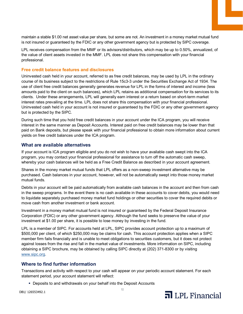maintain a stable \$1.00 net asset value per share, but some are not. An investment in a money market mutual fund is not insured or guaranteed by the FDIC or any other government agency but is protected by SIPC coverage.

LPL receives compensation from the MMF or its advisors/distributors, which may be up to 0.50%, annualized, of the value of client assets invested in the MMF. LPL does not share this compensation with your financial professional.

#### <span id="page-9-0"></span>**Free credit balance features and disclosures**

Uninvested cash held in your account, referred to as free credit balances, may be used by LPL in the ordinary course of its business subject to the restrictions of Rule 15c3-3 under the Securities Exchange Act of 1934. The use of client free credit balances generally generates revenue for LPL in the forms of interest and income (less amounts paid to the client on such balances), which LPL retains as additional compensation for its services to its clients. Under these arrangements, LPL will generally earn interest or a return based on short-term market interest rates prevailing at the time. LPL does not share this compensation with your financial professional. Uninvested cash held in your account is not insured or guaranteed by the FDIC or any other government agency but is protected by the SIPC.

During such time that you hold free credit balances in your account under the ICA program, you will receive interest in the same manner as Deposit Accounts. Interest paid on free credit balances may be lower than that paid on Bank deposits, but please speak with your financial professional to obtain more information about current yields on free credit balances under the ICA program.

# <span id="page-9-1"></span>**What are available alternatives**

If your account is ICA program eligible and you do not wish to have your available cash swept into the ICA program, you may contact your financial professional for assistance to turn off the automatic cash sweep, whereby your cash balances will be held as a Free Credit Balance as described in your account agreement.

Shares in the money market mutual funds that LPL offers as a non-sweep investment alternative may be purchased. Cash balances in your account, however, will not be automatically swept into those money market mutual funds.

Debits in your account will be paid automatically from available cash balances in the account and then from cash in the sweep programs. In the event there is no cash available in these accounts to cover debits, you would need to liquidate separately purchased money market fund holdings or other securities to cover the required debits or move cash from another investment or bank account.

Investment in a money market mutual fund is not insured or guaranteed by the Federal Deposit Insurance Corporation (FDIC) or any other government agency. Although the fund seeks to preserve the value of your investment at \$1.00 per share, it is possible to lose money by investing in the fund.

LPL is a member of SIPC. For accounts held at LPL, SIPC provides account protection up to a maximum of \$500,000 per client, of which \$250,000 may be claims for cash. This account protection applies when a SIPC member firm fails financially and is unable to meet obligations to securities customers, but it does not protect against losses from the rise and fall in the market value of investments. More information on SIPC, including obtaining a SIPC brochure, may be obtained by calling SIPC directly at (202) 371-8300 or by visiting [www.sipc.org.](http://www.sipc.org/)

# <span id="page-9-2"></span>**Where to find further information**

Transactions and activity with respect to your cash will appear on your periodic account statement. For each statement period, your account statement will reflect:

**-** Deposits to and withdrawals on your behalf into the Deposit Accounts

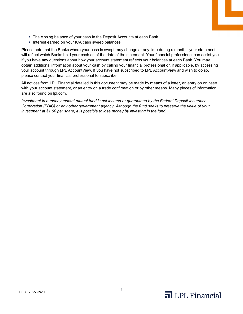- The closing balance of your cash in the Deposit Accounts at each Bank
- **Interest earned on your ICA cash sweep balances**

Please note that the Banks where your cash is swept may change at any time during a month—your statement will reflect which Banks hold your cash as of the date of the statement. Your financial professional can assist you if you have any questions about how your account statement reflects your balances at each Bank. You may obtain additional information about your cash by calling your financial professional or, if applicable, by accessing your account through LPL AccountView. If you have not subscribed to LPL AccountView and wish to do so, please contact your financial professional to subscribe.

All notices from LPL Financial detailed in this document may be made by means of a letter, an entry on or insert with your account statement, or an entry on a trade confirmation or by other means. Many pieces of information are also found on lpl.com.

*Investment in a money market mutual fund is not insured or guaranteed by the Federal Deposit Insurance Corporation (FDIC) or any other government agency. Although the fund seeks to preserve the value of your investment at \$1.00 per share, it is possible to lose money by investing in the fund.*



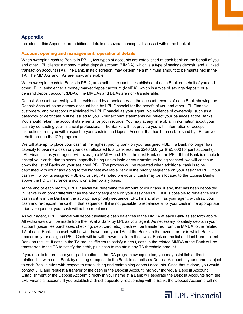# <span id="page-11-0"></span>**Appendix**

Included in this Appendix are additional details on several concepts discussed within the booklet.

## <span id="page-11-1"></span>**Account opening and management: operational details**

When sweeping cash to Banks in PBL1, two types of accounts are established at each bank on the behalf of you and other LPL clients: a money market deposit account (MMDA), which is a type of savings deposit, and a linked transaction account (TA). The Bank, in its discretion, may determine a minimum amount to be maintained in the TA. The MMDAs and TAs are non-transferable.

When sweeping cash to Banks in PBL2, an omnibus account is established at each Bank on behalf of you and other LPL clients: either a money market deposit account (MMDA), which is a type of savings deposit, or a demand deposit account (DDA). The MMDAs and DDAs are non‐ transferable.

Deposit Account ownership will be evidenced by a book entry on the account records of each Bank showing the Deposit Account as an agency account held by LPL Financial for the benefit of you and other LPL Financial customers, and by records maintained by LPL Financial as your agent. No evidence of ownership, such as a passbook or certificate, will be issued to you. Your account statements will reflect your balances at the Banks. You should retain the account statements for your records. You may at any time obtain information about your cash by contacting your financial professional. The Banks will not provide you with information or accept instructions from you with respect to your cash in the Deposit Account that has been established by LPL on your behalf through the ICA program.

We will attempt to place your cash at the highest priority bank on your assigned PBL. If a Bank no longer has capacity to take new cash or your cash allocated to a Bank reaches \$246,500 (or \$493,000 for joint accounts), LPL Financial, as your agent, will leverage a MMDA and TA at the next Bank on the PBL. If that Bank is unable to accept your cash, due to overall capacity being unavailable or your maximum being reached, we will continue down the list of Banks on your assigned PBL. The process will be repeated when additional cash is to be deposited with your cash going to the highest available Bank in the priority sequence on your assigned PBL. Your cash will follow its assigned PBL exclusively. As noted previously, cash may be allocated to the Excess Banks above the FDIC insurance amount on a temporary basis.

At the end of each month, LPL Financial will determine the amount of your cash, if any, that has been deposited in Banks in an order different than the priority sequence on your assigned PBL. If it is possible to rebalance your cash so it is in the Banks in the appropriate priority sequence, LPL Financial will, as your agent, withdraw your cash and re-deposit the cash in that sequence. If it is not possible to rebalance all of your cash in the appropriate priority sequence, your cash will not be rebalanced.

As your agent, LPL Financial will deposit available cash balances in the MMDA at each Bank as set forth above. All withdrawals will be made from the TA at a Bank by LPL as your agent. As necessary to satisfy debits in your account (securities purchases, checking, debit card, etc.), cash will be transferred from the MMDA to the related TA at each Bank. The cash will be withdrawn from your TAs at the Banks in the reverse order in which Banks appear on your assigned PBL. Cash will be withdrawn first from the lowest Bank on the list and last from the first Bank on the list. If cash in the TA are insufficient to satisfy a debit, cash in the related MMDA at the Bank will be transferred to the TA to satisfy the debit, plus cash to maintain any TA threshold amount.

If you decide to terminate your participation in the ICA program sweep option, you may establish a direct relationship with each Bank by making a request to the Bank to establish a Deposit Account in your name, subject to each Bank's rules with respect to establishing and maintaining deposit accounts. Once that is done, you would contact LPL and request a transfer of the cash in the Deposit Account into your individual Deposit Account. Establishment of the Deposit Account directly in your name at a Bank will separate the Deposit Accounts from the LPL Financial account. If you establish a direct depository relationship with a Bank, the Deposit Accounts will no

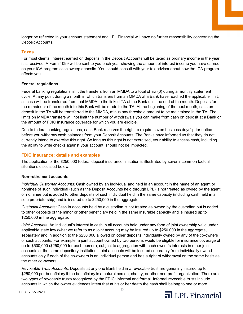longer be reflected in your account statement and LPL Financial will have no further responsibility concerning the Deposit Accounts.

#### <span id="page-12-0"></span>**Taxes**

For most clients, interest earned on deposits in the Deposit Accounts will be taxed as ordinary income in the year it is received. A Form 1099 will be sent to you each year showing the amount of interest income you have earned on your ICA program cash sweep deposits. You should consult with your tax advisor about how the ICA program affects you.

#### **Federal regulations**

Federal banking regulations limit the transfers from an MMDA to a total of six (6) during a monthly statement cycle. At any point during a month in which transfers from an MMDA at a Bank have reached the applicable limit, all cash will be transferred from that MMDA to the linked TA at the Bank until the end of the month. Deposits for the remainder of the month into this Bank will be made to the TA. At the beginning of the next month, cash on deposit in the TA will be transferred to the MMDA, minus any threshold amount to be maintained in the TA. The limits on MMDA transfers will not limit the number of withdrawals you can make from cash on deposit at a Bank or the amount of FDIC insurance coverage for which you are eligible.

Due to federal banking regulations, each Bank reserves the right to require seven business days' prior notice before you withdraw cash balances from your Deposit Accounts. The Banks have informed us that they do not currently intend to exercise this right. So long as this right is not exercised, your ability to access cash, including the ability to write checks against your account, should not be impacted.

#### <span id="page-12-1"></span>**FDIC insurance: details and examples**

The application of the \$250,000 federal deposit insurance limitation is illustrated by several common factual situations discussed below.

#### **Non-retirement accounts**

*Individual Customer Accounts:* Cash owned by an individual and held in an account in the name of an agent or nominee of such individual (such as the Deposit Accounts held through LPL) is not treated as owned by the agent or nominee but is added to other deposits of such individual held in the same capacity (including cash held in a sole proprietorship) and is insured up to \$250,000 in the aggregate.

*Custodial Accounts:* Cash in accounts held by a custodian is not treated as owned by the custodian but is added to other deposits of the minor or other beneficiary held in the same insurable capacity and is insured up to \$250,000 in the aggregate.

*Joint Accounts:* An individual's interest in cash in all accounts held under any form of joint ownership valid under applicable state law (what we refer to as a joint account) may be insured up to \$250,000 in the aggregate, separately and in addition to the \$250,000 allowed on other deposits individually owned by any of the co-owners of such accounts. For example, a joint account owned by two persons would be eligible for insurance coverage of up to \$500,000 (\$250,000 for each person), subject to aggregation with each owner's interests in other joint accounts at the same depository institution. Joint accounts will be insured separately from individually owned accounts only if each of the co-owners is an individual person and has a right of withdrawal on the same basis as the other co-owners.

*Revocable Trust Accounts:* Deposits at any one Bank held in a revocable trust are generally insured up to \$250,000 per beneficiary if the beneficiary is a natural person, charity, or other non-profit organization. There are two types of revocable trusts recognized by the FDIC: informal and formal. Informal revocable trusts include accounts in which the owner evidences intent that at his or her death the cash shall belong to one or more

DB1/ 126553492.1



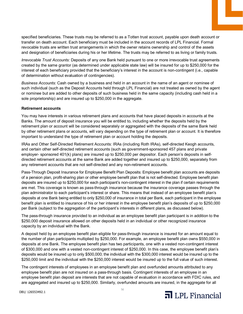specified beneficiaries. These trusts may be referred to as a Totten trust account, payable upon death account or transfer on death account. Each beneficiary must be included in the account records of LPL Financial. Formal revocable trusts are written trust arrangements in which the owner retains ownership and control of the assets and designation of beneficiaries during his or her lifetime. The trusts may be referred to as living or family trusts.

*Irrevocable Trust Accounts:* Deposits of any one Bank held pursuant to one or more irrevocable trust agreements created by the same grantor (as determined under applicable state law) will be insured for up to \$250,000 for the interest of each beneficiary provided that the beneficiary's interest in the account is non-contingent (i.e., capable of determination without evaluation of contingencies).

*Business Accounts:* Cash owned by a business and held in an account in the name of an agent or nominee of such individual (such as the Deposit Accounts held through LPL Financial) are not treated as owned by the agent or nominee but are added to other deposits of such business held in the same capacity (including cash held in a sole proprietorship) and are insured up to \$250,000 in the aggregate.

#### **Retirement accounts**

You may have interests in various retirement plans and accounts that have placed deposits in accounts at the Banks. The amount of deposit insurance you will be entitled to, including whether the deposits held by the retirement plan or account will be considered separately or aggregated with the deposits of the same Bank held by other retirement plans or accounts, will vary depending on the type of retirement plan or account. It is therefore important to understand the type of retirement plan or account holding the deposits.

IRAs and Other Self-Directed Retirement Accounts: IRAs (including Roth IRAs), self-directed Keogh accounts, and certain other self-directed retirement accounts (such as government-sponsored 457 plans and private employer- sponsored 401(k) plans) are insured up to \$250,000 per depositor. Each person's deposits in selfdirected retirement accounts at the same Bank are added together and insured up to \$250,000, separately from any retirement accounts that are not self-directed and any non-retirement accounts.

Pass-Through Deposit Insurance for Employee Benefit Plan Deposits: Employee benefit plan accounts are deposits of a pension plan, profit-sharing plan or other employee benefit plan that is not self-directed. Employee benefit plan deposits are insured up to \$250,000 for each participant's non-contingent interest in the plan if certain requirements are met. This coverage is known as pass-through insurance because the insurance coverage passes through the plan administrator to each participant's interest or share. This means that instead of an employee benefit plan's deposits at one Bank being entitled to only \$250,000 of insurance in total per Bank, each participant in the employee benefit plan is entitled to insurance of his or her interest in the employee benefit plan's deposits of up to \$250,000 per Bank (subject to the aggregation of the participant's interests in different plans, as discussed below).

The pass-through insurance provided to an individual as an employee benefit plan participant is in addition to the \$250,000 deposit insurance allowed on other deposits held in an individual or other recognized insurance capacity by an individual with the Bank.

A deposit held by an employee benefit plan eligible for pass-through insurance is insured for an amount equal to the number of plan participants multiplied by \$250,000. For example, an employee benefit plan owns \$550,000 in deposits at one Bank. The employee benefit plan has two participants, one with a vested non-contingent interest of \$300,000 and one with a vested non-contingent interest of \$250,000. In this case, the employee benefit plan's deposits would be insured up to only \$500,000; the individual with the \$300,000 interest would be insured up to the \$250,000 limit and the individual with the \$250,000 interest would be insured up to the full value of such interest.

The contingent interests of employees in an employee benefit plan and overfunded amounts attributed to any employee benefit plan are not insured on a pass-through basis. Contingent interests of an employee in an employee benefit plan deposit are interests that are not capable of evaluation in accordance with FDIC rules, and are aggregated and insured up to \$250,000. Similarly, overfunded amounts are insured, in the aggregate for all